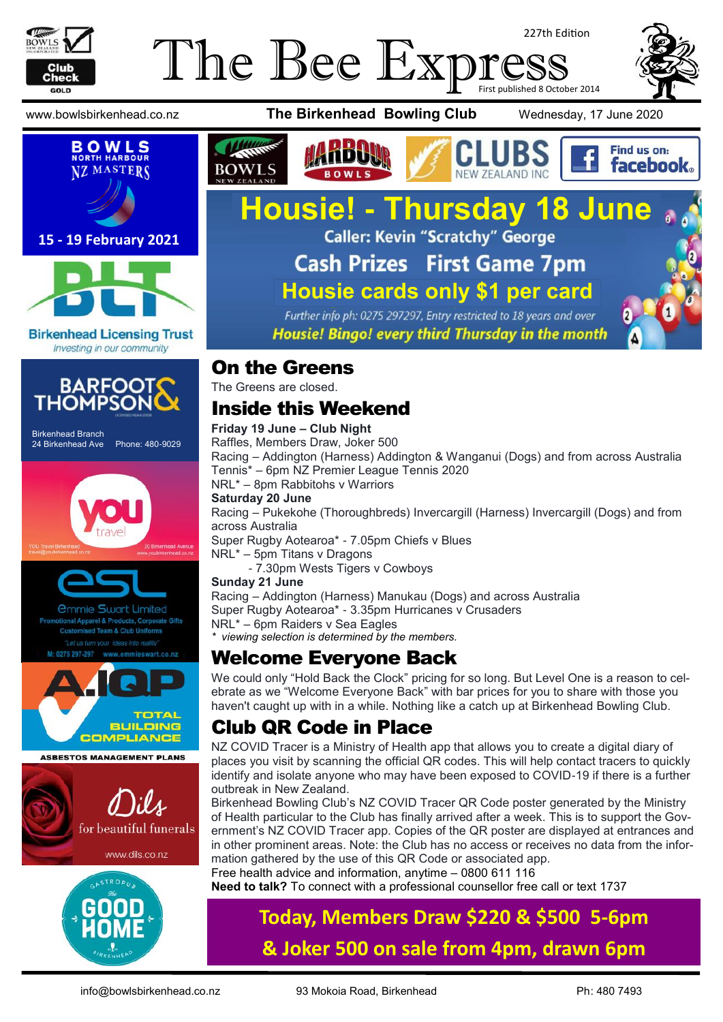

# The Bee Expi 227th Edition First published 8 October 2014





#### **15 - 19 February 2021**



#### **Birkenhead Licensing Trust** Investing in our community



Birkenhead Branch 24 Birkenhead Ave Phone: 480-9029





*<u>Ommie Swart Limited</u>* el & Products, Corporate Gifts



**ASBESTOS MANAGEMENT PLANS** 





### www.bowlsbirkenhead.co.nz **The Birkenhead Bowling Club** Wednesday, 17 June 2020





# **Housie! - Thursday 18 June Cash Prizes First Game 7pm**

**Housie cards only \$1 per card**Further info ph: 0275 297297, Entry restricted to 18 years and over

Housie! Bingo! every third Thursday in the month

# On the Greens

The Greens are closed.

# Inside this Weekend

#### **Friday 19 June – Club Night**

Raffles, Members Draw, Joker 500 Racing – Addington (Harness) Addington & Wanganui (Dogs) and from across Australia Tennis\* – 6pm NZ Premier League Tennis 2020 NRL\* – 8pm Rabbitohs v Warriors **Saturday 20 June** Racing – Pukekohe (Thoroughbreds) Invercargill (Harness) Invercargill (Dogs) and from across Australia Super Rugby Aotearoa\* - 7.05pm Chiefs v Blues NRL\* – 5pm Titans v Dragons - 7.30pm Wests Tigers v Cowboys **Sunday 21 June**

Racing – Addington (Harness) Manukau (Dogs) and across Australia Super Rugby Aotearoa\* - 3.35pm Hurricanes v Crusaders NRL\* – 6pm Raiders v Sea Eagles

*\* viewing selection is determined by the members.*

## Welcome Everyone Back

We could only "Hold Back the Clock" pricing for so long. But Level One is a reason to celebrate as we "Welcome Everyone Back" with bar prices for you to share with those you haven't caught up with in a while. Nothing like a catch up at Birkenhead Bowling Club.

# Club QR Code in Place

NZ COVID Tracer is a Ministry of Health app that allows you to create a digital diary of places you visit by scanning the official QR codes. This will help contact tracers to quickly identify and isolate anyone who may have been exposed to COVID-19 if there is a further outbreak in New Zealand.

Birkenhead Bowling Club's NZ COVID Tracer QR Code poster generated by the Ministry of Health particular to the Club has finally arrived after a week. This is to support the Government's NZ COVID Tracer app. Copies of the QR poster are displayed at entrances and in other prominent areas. Note: the Club has no access or receives no data from the information gathered by the use of this QR Code or associated app. Free health advice and information, anytime – [0800 611 116](tel:0800611116)

**Need to talk?** To connect with a professional counsellor free call or text [1737](sms:1737)

# **Today, Members Draw \$220 & \$500 5-6pm & Joker 500 on sale from 4pm, drawn 6pm**